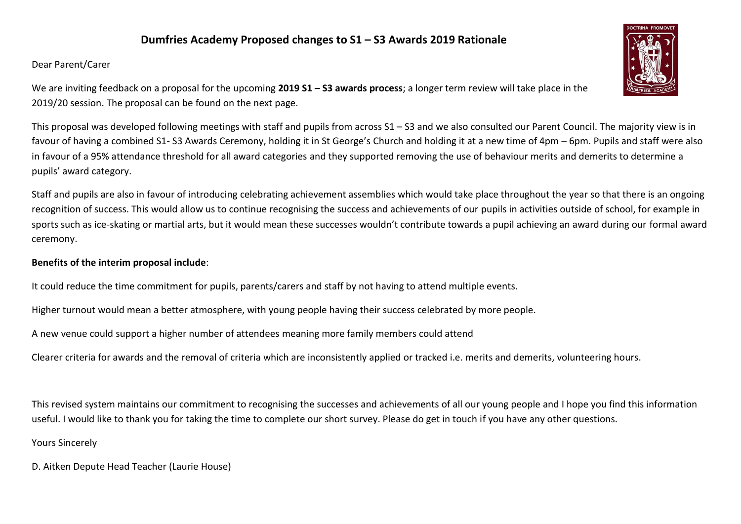## **Dumfries Academy Proposed changes to S1 – S3 Awards 2019 Rationale**

## Dear Parent/Carer

We are inviting feedback on a proposal for the upcoming **2019 S1 – S3 awards process**; a longer term review will take place in the 2019/20 session. The proposal can be found on the next page.

This proposal was developed following meetings with staff and pupils from across S1 – S3 and we also consulted our Parent Council. The majority view is in favour of having a combined S1- S3 Awards Ceremony, holding it in St George's Church and holding it at a new time of 4pm – 6pm. Pupils and staff were also in favour of a 95% attendance threshold for all award categories and they supported removing the use of behaviour merits and demerits to determine a pupils' award category.

Staff and pupils are also in favour of introducing celebrating achievement assemblies which would take place throughout the year so that there is an ongoing recognition of success. This would allow us to continue recognising the success and achievements of our pupils in activities outside of school, for example in sports such as ice-skating or martial arts, but it would mean these successes wouldn't contribute towards a pupil achieving an award during our formal award ceremony.

## **Benefits of the interim proposal include**:

It could reduce the time commitment for pupils, parents/carers and staff by not having to attend multiple events.

Higher turnout would mean a better atmosphere, with young people having their success celebrated by more people.

A new venue could support a higher number of attendees meaning more family members could attend

Clearer criteria for awards and the removal of criteria which are inconsistently applied or tracked i.e. merits and demerits, volunteering hours.

This revised system maintains our commitment to recognising the successes and achievements of all our young people and I hope you find this information useful. I would like to thank you for taking the time to complete our short survey. Please do get in touch if you have any other questions.

Yours Sincerely

D. Aitken Depute Head Teacher (Laurie House)